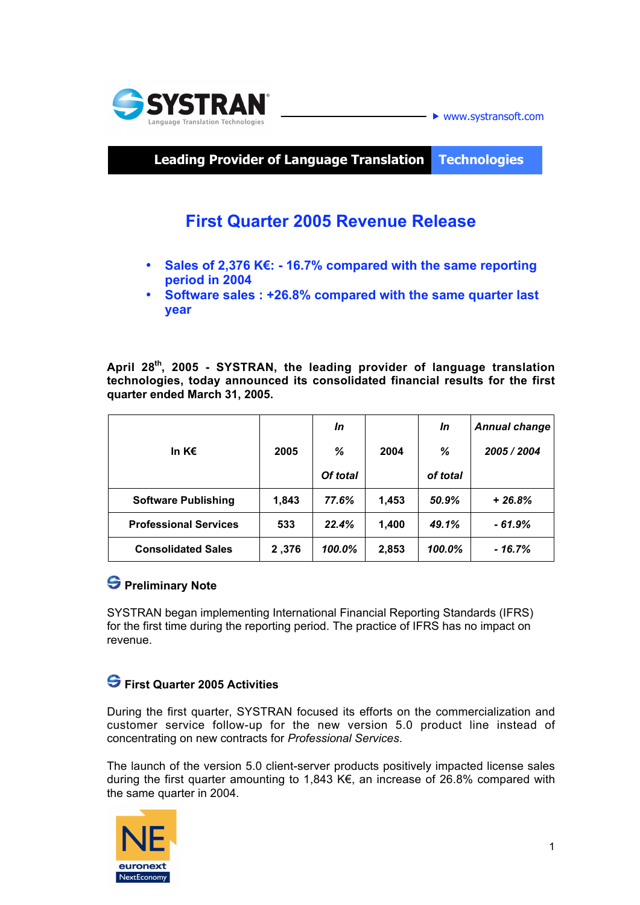



**Leading Provider of Language Translation Technologies**

# **First Quarter 2005 Revenue Release**

- **Sales of 2,376 K€: 16.7% compared with the same reporting period in 2004**
- **Software sales : +26.8% compared with the same quarter last year**

**April 28th, 2005 - SYSTRAN, the leading provider of language translation technologies, today announced its consolidated financial results for the first quarter ended March 31, 2005.**

|                              |       | In       |       | In       | <b>Annual change</b> |
|------------------------------|-------|----------|-------|----------|----------------------|
| In K $\epsilon$              | 2005  | %        | 2004  | %        | 2005 / 2004          |
|                              |       | Of total |       | of total |                      |
| <b>Software Publishing</b>   | 1,843 | 77.6%    | 1,453 | 50.9%    | $+26.8%$             |
| <b>Professional Services</b> | 533   | 22.4%    | 1,400 | 49.1%    | - 61.9%              |
| <b>Consolidated Sales</b>    | 2,376 | 100.0%   | 2,853 | 100.0%   | - 16.7%              |

# **S** Preliminary Note

SYSTRAN began implementing International Financial Reporting Standards (IFRS) for the first time during the reporting period. The practice of IFRS has no impact on revenue.

## **First Quarter 2005 Activities**

During the first quarter, SYSTRAN focused its efforts on the commercialization and customer service follow-up for the new version 5.0 product line instead of concentrating on new contracts for *Professional Services*.

The launch of the version 5.0 client-server products positively impacted license sales during the first quarter amounting to 1,843 K€, an increase of 26.8% compared with the same quarter in 2004.